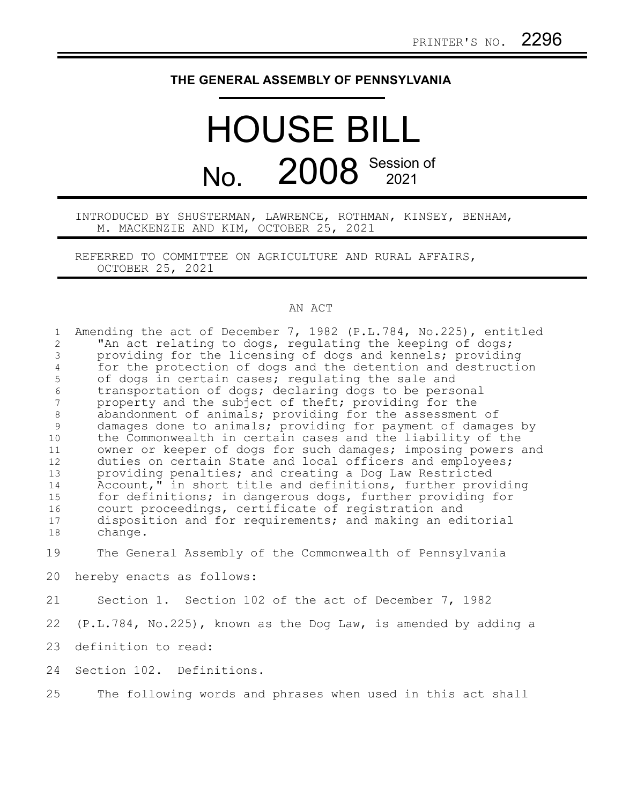## **THE GENERAL ASSEMBLY OF PENNSYLVANIA**

## HOUSE BILL No. 2008 Session of

INTRODUCED BY SHUSTERMAN, LAWRENCE, ROTHMAN, KINSEY, BENHAM, M. MACKENZIE AND KIM, OCTOBER 25, 2021

REFERRED TO COMMITTEE ON AGRICULTURE AND RURAL AFFAIRS, OCTOBER 25, 2021

## AN ACT

| $\mathbf{1}$        | Amending the act of December 7, 1982 (P.L.784, No.225), entitled                                                           |
|---------------------|----------------------------------------------------------------------------------------------------------------------------|
| 2                   | "An act relating to dogs, regulating the keeping of dogs;                                                                  |
| 3                   | providing for the licensing of dogs and kennels; providing<br>for the protection of dogs and the detention and destruction |
| $\overline{4}$<br>5 | of dogs in certain cases; regulating the sale and                                                                          |
| $\epsilon$          | transportation of dogs; declaring dogs to be personal                                                                      |
| 7                   | property and the subject of theft; providing for the                                                                       |
| $\,8\,$             | abandonment of animals; providing for the assessment of                                                                    |
| 9                   | damages done to animals; providing for payment of damages by                                                               |
| 10                  | the Commonwealth in certain cases and the liability of the                                                                 |
| 11                  | owner or keeper of dogs for such damages; imposing powers and                                                              |
| 12                  | duties on certain State and local officers and employees;                                                                  |
| 13                  | providing penalties; and creating a Dog Law Restricted                                                                     |
| 14                  | Account," in short title and definitions, further providing                                                                |
| 15                  | for definitions; in dangerous dogs, further providing for                                                                  |
| 16                  | court proceedings, certificate of registration and                                                                         |
| 17                  | disposition and for requirements; and making an editorial                                                                  |
| 18                  | change.                                                                                                                    |
| 19                  | The General Assembly of the Commonwealth of Pennsylvania                                                                   |
| 20                  | hereby enacts as follows:                                                                                                  |
| 21                  | Section 1. Section 102 of the act of December 7, 1982                                                                      |
| 22                  | $(P.L.784, No.225)$ , known as the Dog Law, is amended by adding a                                                         |
| 23                  | definition to read:                                                                                                        |
| 24                  | Section 102. Definitions.                                                                                                  |
| 25                  | The following words and phrases when used in this act shall                                                                |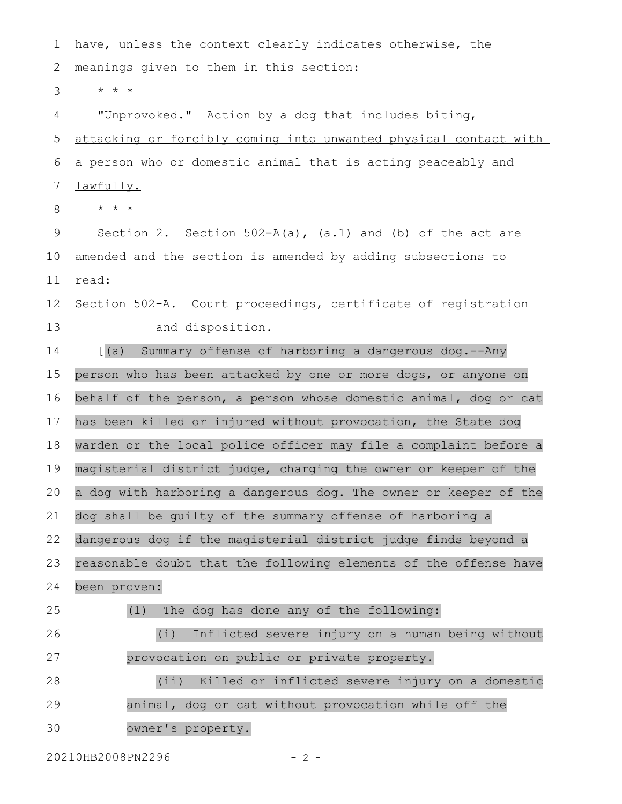have, unless the context clearly indicates otherwise, the meanings given to them in this section: \* \* \* "Unprovoked." Action by a dog that includes biting, attacking or forcibly coming into unwanted physical contact with a person who or domestic animal that is acting peaceably and lawfully. \* \* \* Section 2. Section  $502-A(a)$ ,  $(a.1)$  and  $(b)$  of the act are amended and the section is amended by adding subsections to read: Section 502-A. Court proceedings, certificate of registration and disposition. [(a) Summary offense of harboring a dangerous dog.--Any person who has been attacked by one or more dogs, or anyone on behalf of the person, a person whose domestic animal, dog or cat has been killed or injured without provocation, the State dog warden or the local police officer may file a complaint before a magisterial district judge, charging the owner or keeper of the a dog with harboring a dangerous dog. The owner or keeper of the dog shall be guilty of the summary offense of harboring a dangerous dog if the magisterial district judge finds beyond a reasonable doubt that the following elements of the offense have been proven: (1) The dog has done any of the following: (i) Inflicted severe injury on a human being without provocation on public or private property. (ii) Killed or inflicted severe injury on a domestic animal, dog or cat without provocation while off the owner's property. 1 2 3 4 5 6 7 8 9 10 11 12 13 14 15 16 17 18 19 20 21 22 23 24 25 26 27 28 29 30

20210HB2008PN2296 - 2 -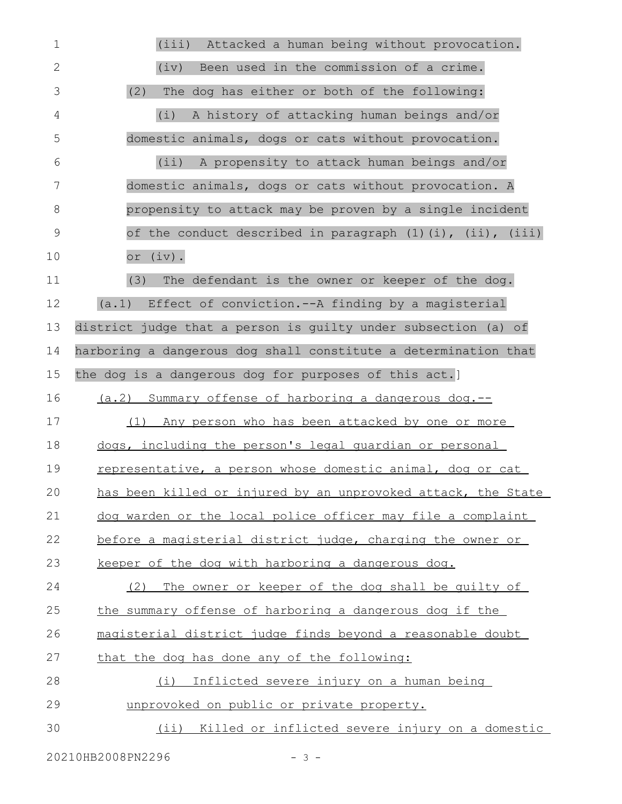| $\mathbf 1$ | Attacked a human being without provocation.<br>(iii)            |
|-------------|-----------------------------------------------------------------|
| 2           | Been used in the commission of a crime.<br>(iv)                 |
| 3           | (2)<br>The dog has either or both of the following:             |
| 4           | A history of attacking human beings and/or<br>(i)               |
| 5           | domestic animals, dogs or cats without provocation.             |
| 6           | (iii)<br>A propensity to attack human beings and/or             |
| 7           | domestic animals, dogs or cats without provocation. A           |
| 8           | propensity to attack may be proven by a single incident         |
| 9           | of the conduct described in paragraph (1)(i), (ii), (iii)       |
| 10          | or (iv).                                                        |
| 11          | (3)<br>The defendant is the owner or keeper of the dog.         |
| 12          | (a.1) Effect of conviction.--A finding by a magisterial         |
| 13          | district judge that a person is quilty under subsection (a) of  |
| 14          | harboring a dangerous dog shall constitute a determination that |
| 15          | the dog is a dangerous dog for purposes of this act.]           |
| 16          | (a.2) Summary offense of harboring a dangerous dog.--           |
| 17          | (1) Any person who has been attacked by one or more             |
| 18          | dogs, including the person's legal quardian or personal         |
| 19          | representative, a person whose domestic animal, dog or cat      |
| 20          | has been killed or injured by an unprovoked attack, the State   |
| 21          | dog warden or the local police officer may file a complaint     |
| 22          | before a magisterial district judge, charging the owner or      |
| 23          | keeper of the dog with harboring a dangerous dog.               |
| 24          | (2) The owner or keeper of the dog shall be quilty of           |
| 25          | the summary offense of harboring a dangerous dog if the         |
| 26          | magisterial district judge finds beyond a reasonable doubt      |
| 27          | that the dog has done any of the following:                     |
| 28          | Inflicted severe injury on a human being<br>(i)                 |
| 29          | unprovoked on public or private property.                       |
| 30          | (ii) Killed or inflicted severe injury on a domestic            |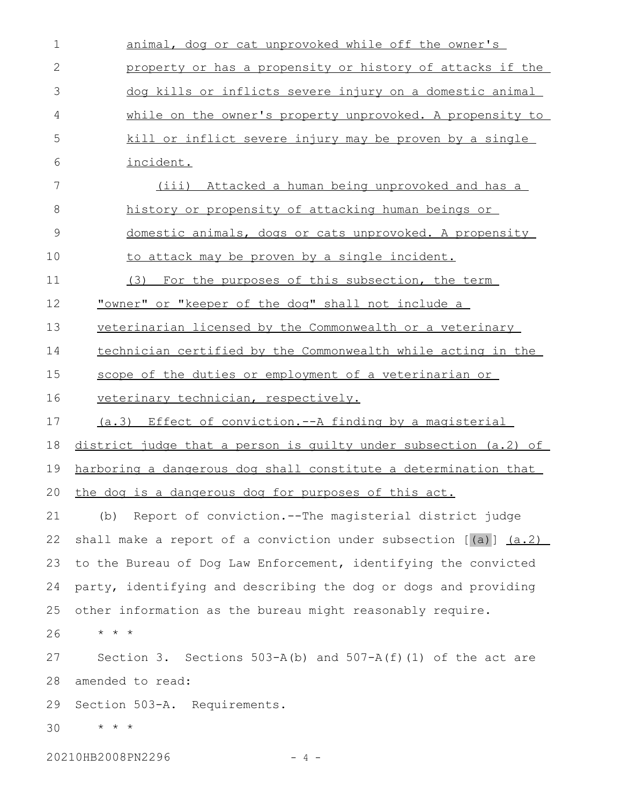| $\mathbf 1$   | animal, dog or cat unprovoked while off the owner's                  |
|---------------|----------------------------------------------------------------------|
| $\mathbf{2}$  | property or has a propensity or history of attacks if the            |
| 3             | dog kills or inflicts severe injury on a domestic animal             |
| 4             | while on the owner's property unprovoked. A propensity to            |
| 5             | kill or inflict severe injury may be proven by a single              |
| 6             | incident.                                                            |
| 7             | (iii) Attacked a human being unprovoked and has a                    |
| 8             | history or propensity of attacking human beings or                   |
| $\mathcal{G}$ | domestic animals, dogs or cats unprovoked. A propensity              |
| 10            | to attack may be proven by a single incident.                        |
| 11            | For the purposes of this subsection, the term<br>(3)                 |
| 12            | "owner" or "keeper of the dog" shall not include a                   |
| 13            | veterinarian licensed by the Commonwealth or a veterinary            |
| 14            | technician certified by the Commonwealth while acting in the         |
| 15            | scope of the duties or employment of a veterinarian or               |
| 16            | veterinary technician, respectively.                                 |
| 17            | (a.3) Effect of conviction.--A finding by a magisterial              |
| 18            | district judge that a person is quilty under subsection (a.2) of     |
| 19            | harboring a dangerous dog shall constitute a determination that      |
| 20            | the dog is a dangerous dog for purposes of this act.                 |
| 21            | Report of conviction.--The magisterial district judge<br>(b)         |
| 22            | shall make a report of a conviction under subsection $[(a)]$ $(a.2)$ |
| 23            | to the Bureau of Dog Law Enforcement, identifying the convicted      |
| 24            | party, identifying and describing the dog or dogs and providing      |
| 25            | other information as the bureau might reasonably require.            |
| 26            | $\star$ $\star$ $\star$                                              |
| 27            | Section 3. Sections $503-A(b)$ and $507-A(f)(1)$ of the act are      |
| 28            | amended to read:                                                     |
| 29            | Section 503-A. Requirements.                                         |
| 30            | $\star$ $\star$ $\star$                                              |
|               |                                                                      |

20210HB2008PN2296 - 4 -